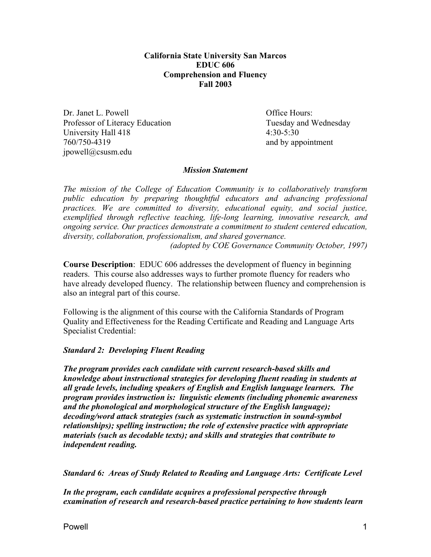**California State University San Marcos EDUC 606 Comprehension and Fluency Fall 2003** 

Dr. Janet L. Powell **Dr. Janet L. Powell** Professor of Literacy Education Tuesday and Wednesday University Hall 418 4:30-5:30 760/750-4319 and by appointment jpowell@csusm.edu

## *Mission Statement*

*The mission of the College of Education Community is to collaboratively transform public education by preparing thoughtful educators and advancing professional practices. We are committed to diversity, educational equity, and social justice, exemplified through reflective teaching, life-long learning, innovative research, and ongoing service. Our practices demonstrate a commitment to student centered education, diversity, collaboration, professionalism, and shared governance.* 

*(adopted by COE Governance Community October, 1997)* 

**Course Description**: EDUC 606 addresses the development of fluency in beginning readers. This course also addresses ways to further promote fluency for readers who have already developed fluency. The relationship between fluency and comprehension is also an integral part of this course.

Following is the alignment of this course with the California Standards of Program Quality and Effectiveness for the Reading Certificate and Reading and Language Arts Specialist Credential:

# *Standard 2: Developing Fluent Reading*

*The program provides each candidate with current research-based skills and knowledge about instructional strategies for developing fluent reading in students at all grade levels, including speakers of English and English language learners. The program provides instruction is: linguistic elements (including phonemic awareness and the phonological and morphological structure of the English language); decoding/word attack strategies (such as systematic instruction in sound-symbol relationships); spelling instruction; the role of extensive practice with appropriate materials (such as decodable texts); and skills and strategies that contribute to independent reading.* 

*Standard 6: Areas of Study Related to Reading and Language Arts: Certificate Level* 

*In the program, each candidate acquires a professional perspective through examination of research and research-based practice pertaining to how students learn*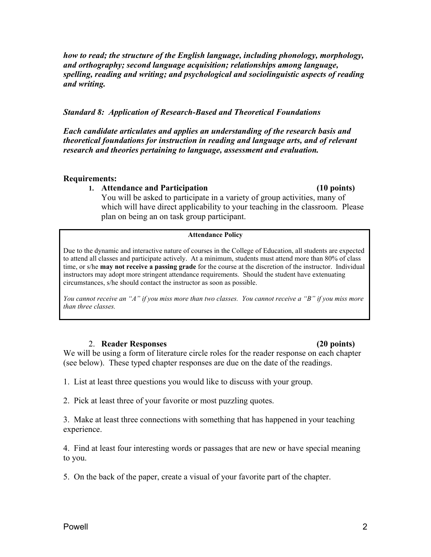*how to read; the structure of the English language, including phonology, morphology, and orthography; second language acquisition; relationships among language, spelling, reading and writing; and psychological and sociolinguistic aspects of reading and writing.*

# *Standard 8: Application of Research-Based and Theoretical Foundations*

*Each candidate articulates and applies an understanding of the research basis and theoretical foundations for instruction in reading and language arts, and of relevant research and theories pertaining to language, assessment and evaluation.* 

## **Requirements:**

## **1. Attendance and Participation (10 points)**

You will be asked to participate in a variety of group activities, many of which will have direct applicability to your teaching in the classroom. Please plan on being an on task group participant.

### **Attendance Policy**

Due to the dynamic and interactive nature of courses in the College of Education, all students are expected to attend all classes and participate actively. At a minimum, students must attend more than 80% of class time, or s/he **may not receive a passing grade** for the course at the discretion of the instructor. Individual instructors may adopt more stringent attendance requirements. Should the student have extenuating circumstances, s/he should contact the instructor as soon as possible.

*You cannot receive an "A" if you miss more than two classes. You cannot receive a "B" if you miss more than three classes.* 

## 2. **Reader Responses (20 points)**

We will be using a form of literature circle roles for the reader response on each chapter (see below). These typed chapter responses are due on the date of the readings.

- 1. List at least three questions you would like to discuss with your group.
- 2. Pick at least three of your favorite or most puzzling quotes.

3. Make at least three connections with something that has happened in your teaching experience.

4. Find at least four interesting words or passages that are new or have special meaning to you.

5. On the back of the paper, create a visual of your favorite part of the chapter.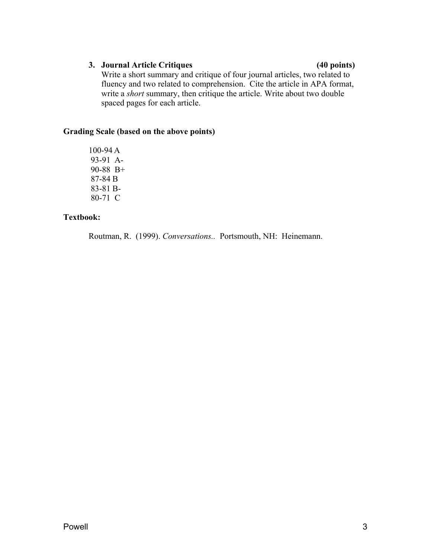# **3. Journal Article Critiques (40 points)**

Write a short summary and critique of four journal articles, two related to fluency and two related to comprehension. Cite the article in APA format, write a *short* summary, then critique the article. Write about two double spaced pages for each article.

# **Grading Scale (based on the above points)**

100-94 A 93-91 A-90-88 B+ 87-84 B 83-81 B-80-71 C

# **Textbook:**

Routman, R. (1999). *Conversations..* Portsmouth, NH: Heinemann.